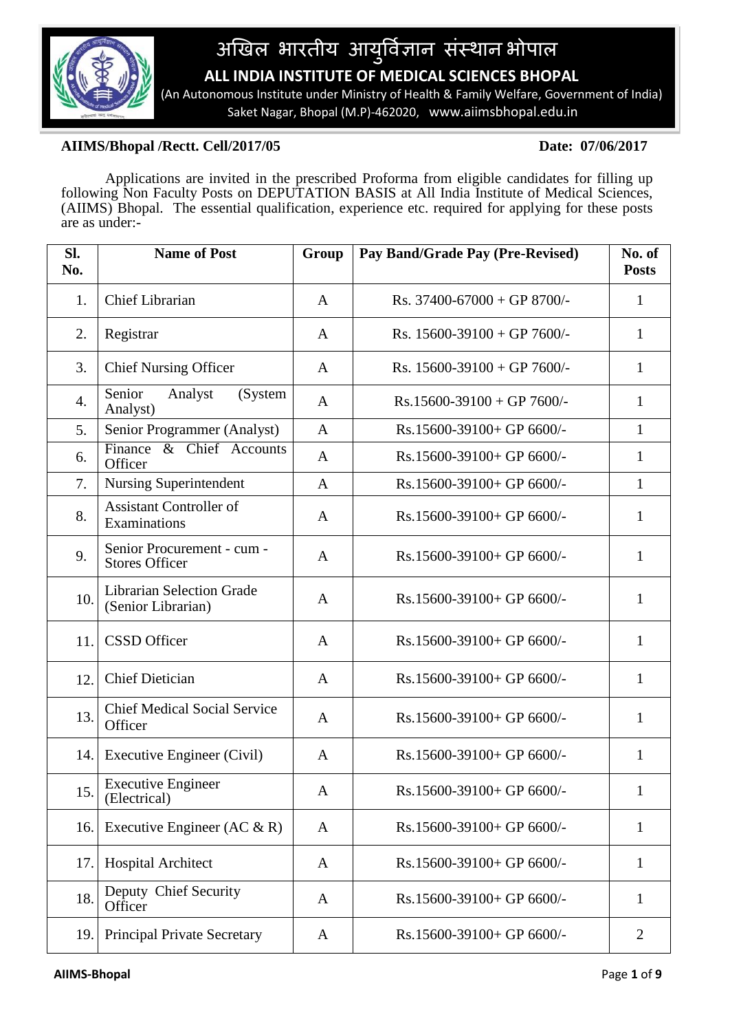

# अखिल भारतीय आयुर्विज्ञान संस्थानं भोपाल  **ALL INDIA INSTITUTE OF MEDICAL SCIENCES BHOPAL**

 (An Autonomous Institute under Ministry of Health & Family Welfare, Government of India) Saket Nagar, Bhopal (M.P)-462020, www.aiimsbhopal.edu.in

## **AIIMS/Bhopal /Rectt. Cell/2017/05 Date: 07/06/2017**

Applications are invited in the prescribed Proforma from eligible candidates for filling up following Non Faculty Posts on DEPUTATION BASIS at All India Institute of Medical Sciences, (AIIMS) Bhopal. The essential qualification, experience etc. required for applying for these posts are as under:-

| SI.<br>No. | <b>Name of Post</b>                                    | Group        | Pay Band/Grade Pay (Pre-Revised) | No. of<br><b>Posts</b> |
|------------|--------------------------------------------------------|--------------|----------------------------------|------------------------|
| 1.         | <b>Chief Librarian</b>                                 | A            | Rs. $37400 - 67000 + GP 8700/$   | $\mathbf{1}$           |
| 2.         | Registrar                                              | $\mathbf{A}$ | Rs. $15600-39100 + GP$ 7600/-    | 1                      |
| 3.         | <b>Chief Nursing Officer</b>                           | A            | Rs. $15600-39100 + GP$ 7600/-    | 1                      |
| 4.         | Senior<br>Analyst<br>(System<br>Analyst)               | A            | $Rs.15600-39100 + GP 7600/-$     | 1                      |
| 5.         | Senior Programmer (Analyst)                            | $\mathbf{A}$ | Rs.15600-39100+ GP 6600/-        | $\mathbf{1}$           |
| 6.         | Finance & Chief Accounts<br>Officer                    | A            | Rs.15600-39100+ GP 6600/-        | 1                      |
| 7.         | <b>Nursing Superintendent</b>                          | $\mathbf{A}$ | Rs.15600-39100+ GP 6600/-        | 1                      |
| 8.         | <b>Assistant Controller of</b><br>Examinations         | A            | Rs.15600-39100+ GP 6600/-        | 1                      |
| 9.         | Senior Procurement - cum -<br><b>Stores Officer</b>    | A            | Rs.15600-39100+ GP 6600/-        | 1                      |
| 10.        | <b>Librarian Selection Grade</b><br>(Senior Librarian) | $\mathbf{A}$ | Rs.15600-39100+ GP 6600/-        | 1                      |
| 11.        | <b>CSSD</b> Officer                                    | A            | Rs.15600-39100+ GP 6600/-        | 1                      |
| 12.        | <b>Chief Dietician</b>                                 | $\mathbf{A}$ | Rs.15600-39100+ GP 6600/-        | 1                      |
| 13.        | <b>Chief Medical Social Service</b><br>Officer         | A            | Rs.15600-39100+ GP 6600/-        | 1                      |
| 14.        | Executive Engineer (Civil)                             | $\mathbf{A}$ | Rs.15600-39100+ GP 6600/-        | 1                      |
| 15.        | <b>Executive Engineer</b><br>(Electrical)              | A            | Rs.15600-39100+ GP 6600/-        | $\mathbf{1}$           |
| 16.        | Executive Engineer (AC $\&$ R)                         | A            | Rs.15600-39100+ GP 6600/-        | 1                      |
| 17.        | <b>Hospital Architect</b>                              | A            | Rs.15600-39100+ GP 6600/-        | 1                      |
| 18.        | Deputy Chief Security<br>Officer                       | A            | Rs.15600-39100+ GP 6600/-        | 1                      |
| 19.        | <b>Principal Private Secretary</b>                     | A            | Rs.15600-39100+ GP 6600/-        | 2                      |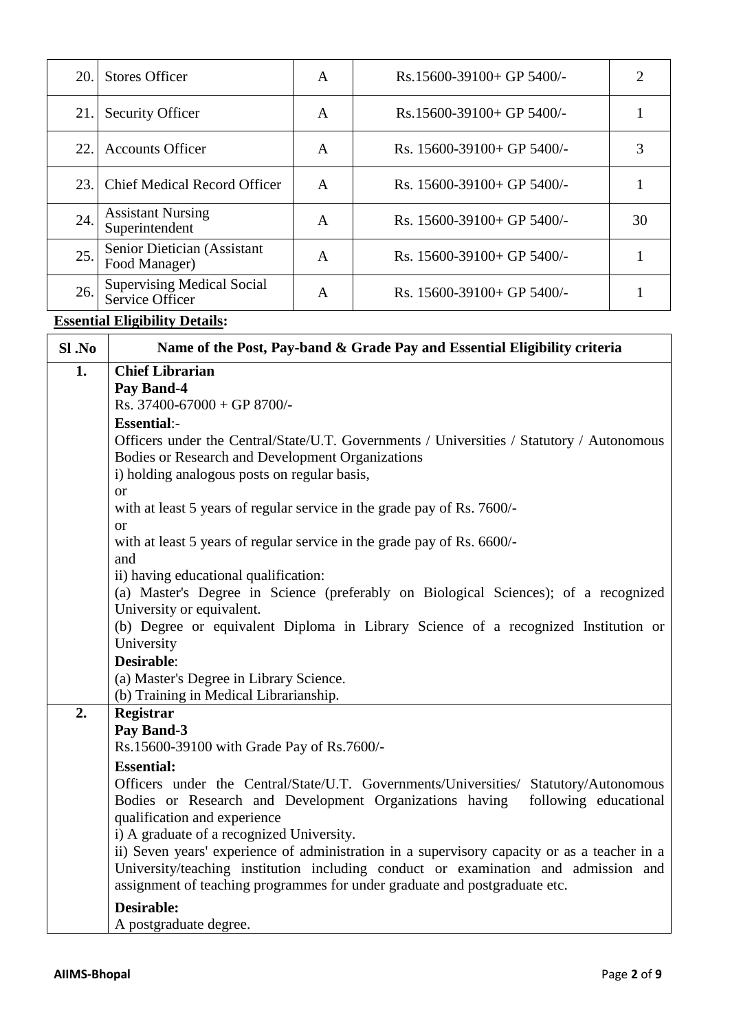| 20. | <b>Stores Officer</b>                                | A | $Rs.15600-39100+GP 5400/-$      | 2  |
|-----|------------------------------------------------------|---|---------------------------------|----|
| 21. | <b>Security Officer</b>                              | A | $Rs.15600-39100+GP 5400/-$      |    |
| 22. | <b>Accounts Officer</b>                              | A | Rs. $15600 - 39100 + GP$ 5400/- |    |
| 23. | <b>Chief Medical Record Officer</b>                  | A | Rs. $15600 - 39100 + GP$ 5400/- |    |
| 24. | <b>Assistant Nursing</b><br>Superintendent           | A | Rs. $15600 - 39100 + GP$ 5400/- | 30 |
| 25. | Senior Dietician (Assistant<br>Food Manager)         | A | Rs. $15600 - 39100 + GP$ 5400/- |    |
| 26. | <b>Supervising Medical Social</b><br>Service Officer | A | Rs. $15600 - 39100 + GP$ 5400/- |    |

## **Essential Eligibility Details:**

| $SI$ . No | Name of the Post, Pay-band & Grade Pay and Essential Eligibility criteria                                       |
|-----------|-----------------------------------------------------------------------------------------------------------------|
| 1.        | <b>Chief Librarian</b>                                                                                          |
|           | Pay Band-4                                                                                                      |
|           | Rs. 37400-67000 + GP 8700/-                                                                                     |
|           | <b>Essential:-</b>                                                                                              |
|           | Officers under the Central/State/U.T. Governments / Universities / Statutory / Autonomous                       |
|           | Bodies or Research and Development Organizations                                                                |
|           | i) holding analogous posts on regular basis,                                                                    |
|           | <b>or</b>                                                                                                       |
|           | with at least 5 years of regular service in the grade pay of Rs. 7600/-                                         |
|           | <sub>or</sub>                                                                                                   |
|           | with at least 5 years of regular service in the grade pay of Rs. 6600/-                                         |
|           | and                                                                                                             |
|           | ii) having educational qualification:                                                                           |
|           | (a) Master's Degree in Science (preferably on Biological Sciences); of a recognized                             |
|           | University or equivalent.<br>(b) Degree or equivalent Diploma in Library Science of a recognized Institution or |
|           | University                                                                                                      |
|           | <b>Desirable:</b>                                                                                               |
|           | (a) Master's Degree in Library Science.                                                                         |
|           | (b) Training in Medical Librarianship.                                                                          |
| 2.        | <b>Registrar</b>                                                                                                |
|           | Pay Band-3                                                                                                      |
|           | Rs.15600-39100 with Grade Pay of Rs.7600/-                                                                      |
|           | <b>Essential:</b>                                                                                               |
|           | Officers under the Central/State/U.T. Governments/Universities/ Statutory/Autonomous                            |
|           | following educational<br>Bodies or Research and Development Organizations having                                |
|           | qualification and experience                                                                                    |
|           | i) A graduate of a recognized University.                                                                       |
|           | ii) Seven years' experience of administration in a supervisory capacity or as a teacher in a                    |
|           | University/teaching institution including conduct or examination and admission and                              |
|           | assignment of teaching programmes for under graduate and postgraduate etc.                                      |
|           | <b>Desirable:</b>                                                                                               |
|           | A postgraduate degree.                                                                                          |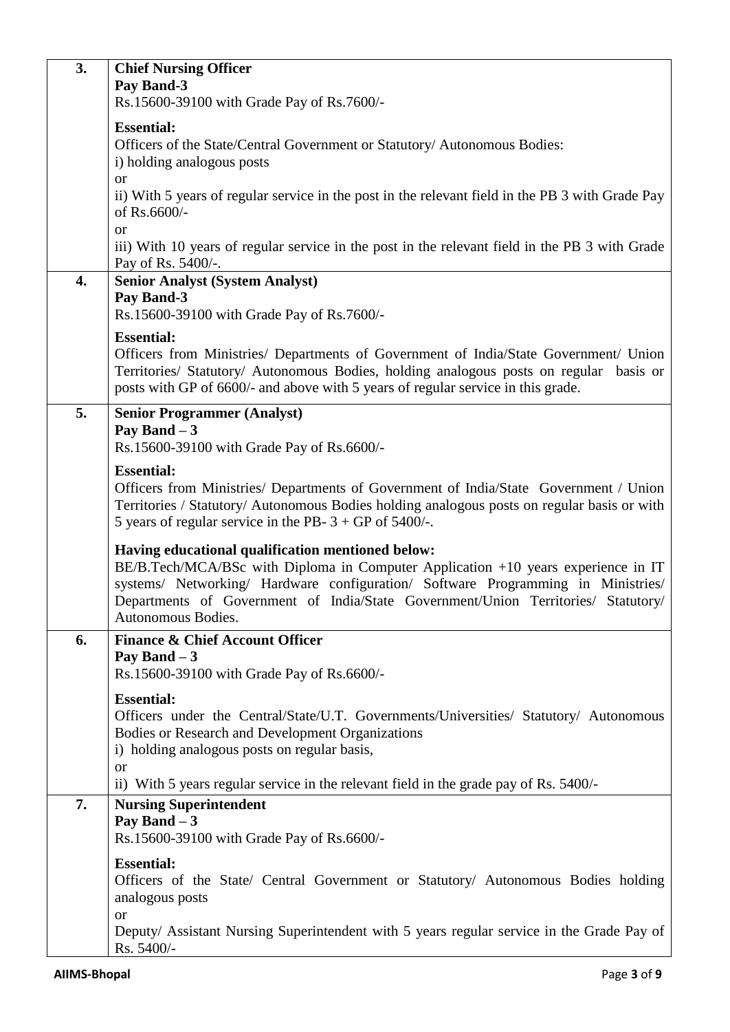| 3. | <b>Chief Nursing Officer</b><br>Pay Band-3                                                                                                                                                                                                                                                                                            |
|----|---------------------------------------------------------------------------------------------------------------------------------------------------------------------------------------------------------------------------------------------------------------------------------------------------------------------------------------|
|    | Rs.15600-39100 with Grade Pay of Rs.7600/-                                                                                                                                                                                                                                                                                            |
|    | <b>Essential:</b><br>Officers of the State/Central Government or Statutory/ Autonomous Bodies:<br>i) holding analogous posts<br><sub>or</sub>                                                                                                                                                                                         |
|    | ii) With 5 years of regular service in the post in the relevant field in the PB 3 with Grade Pay<br>of Rs.6600/-<br><sub>or</sub>                                                                                                                                                                                                     |
|    | iii) With 10 years of regular service in the post in the relevant field in the PB 3 with Grade<br>Pay of Rs. 5400/-.                                                                                                                                                                                                                  |
| 4. | <b>Senior Analyst (System Analyst)</b><br>Pay Band-3                                                                                                                                                                                                                                                                                  |
|    | Rs.15600-39100 with Grade Pay of Rs.7600/-                                                                                                                                                                                                                                                                                            |
|    | <b>Essential:</b>                                                                                                                                                                                                                                                                                                                     |
|    | Officers from Ministries/ Departments of Government of India/State Government/ Union<br>Territories/ Statutory/ Autonomous Bodies, holding analogous posts on regular basis or<br>posts with GP of 6600/- and above with 5 years of regular service in this grade.                                                                    |
| 5. | <b>Senior Programmer (Analyst)</b>                                                                                                                                                                                                                                                                                                    |
|    | Pay Band $-3$<br>Rs.15600-39100 with Grade Pay of Rs.6600/-                                                                                                                                                                                                                                                                           |
|    | <b>Essential:</b><br>Officers from Ministries/ Departments of Government of India/State Government / Union<br>Territories / Statutory/ Autonomous Bodies holding analogous posts on regular basis or with<br>5 years of regular service in the PB- $3 + GP$ of 5400/-.                                                                |
|    | Having educational qualification mentioned below:<br>BE/B.Tech/MCA/BSc with Diploma in Computer Application +10 years experience in IT<br>systems/ Networking/ Hardware configuration/ Software Programming in Ministries/<br>Departments of Government of India/State Government/Union Territories/ Statutory/<br>Autonomous Bodies. |
| 6. | <b>Finance &amp; Chief Account Officer</b>                                                                                                                                                                                                                                                                                            |
|    | Pay Band $-3$<br>Rs.15600-39100 with Grade Pay of Rs.6600/-                                                                                                                                                                                                                                                                           |
|    | <b>Essential:</b><br>Officers under the Central/State/U.T. Governments/Universities/ Statutory/ Autonomous<br>Bodies or Research and Development Organizations<br>i) holding analogous posts on regular basis,<br>or                                                                                                                  |
|    | ii) With 5 years regular service in the relevant field in the grade pay of Rs. 5400/-                                                                                                                                                                                                                                                 |
| 7. | <b>Nursing Superintendent</b><br>Pay Band $-3$<br>Rs.15600-39100 with Grade Pay of Rs.6600/-                                                                                                                                                                                                                                          |
|    | <b>Essential:</b><br>Officers of the State/ Central Government or Statutory/ Autonomous Bodies holding<br>analogous posts<br><b>or</b>                                                                                                                                                                                                |
|    | Deputy/ Assistant Nursing Superintendent with 5 years regular service in the Grade Pay of<br>Rs. 5400/-                                                                                                                                                                                                                               |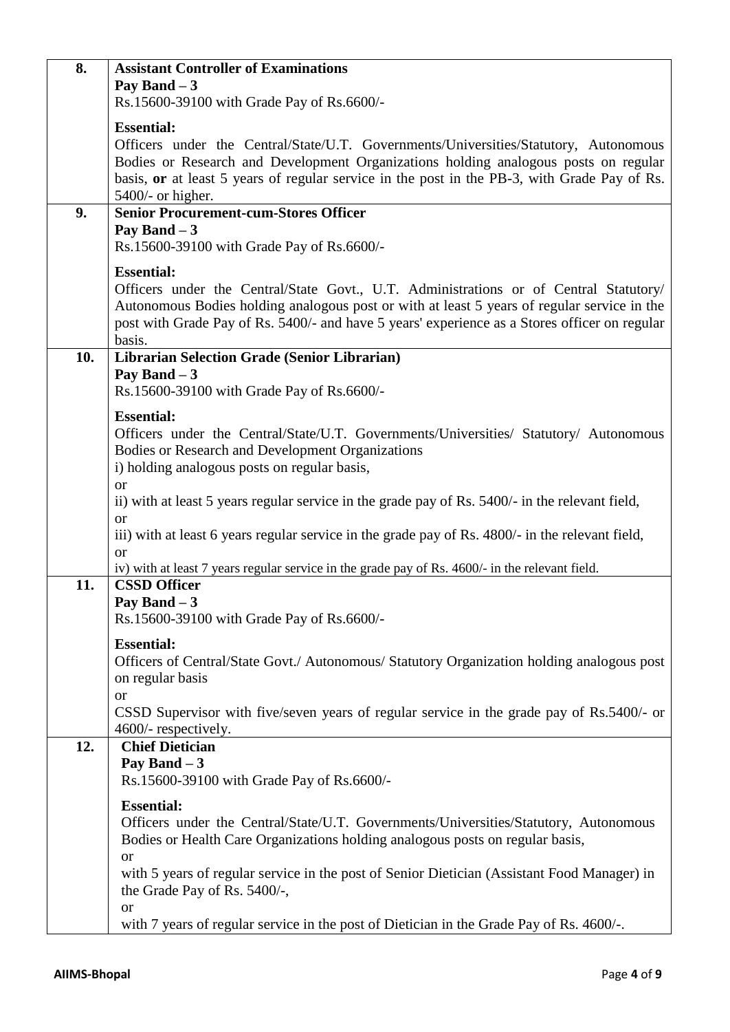| 8.  | <b>Assistant Controller of Examinations</b>                                                                                                                                          |
|-----|--------------------------------------------------------------------------------------------------------------------------------------------------------------------------------------|
|     | Pay Band $-3$                                                                                                                                                                        |
|     | Rs.15600-39100 with Grade Pay of Rs.6600/-                                                                                                                                           |
|     | <b>Essential:</b>                                                                                                                                                                    |
|     | Officers under the Central/State/U.T. Governments/Universities/Statutory, Autonomous                                                                                                 |
|     | Bodies or Research and Development Organizations holding analogous posts on regular                                                                                                  |
|     | basis, or at least 5 years of regular service in the post in the PB-3, with Grade Pay of Rs.                                                                                         |
|     | 5400/- or higher.<br><b>Senior Procurement-cum-Stores Officer</b>                                                                                                                    |
| 9.  | Pay Band $-3$                                                                                                                                                                        |
|     | Rs.15600-39100 with Grade Pay of Rs.6600/-                                                                                                                                           |
|     |                                                                                                                                                                                      |
|     | <b>Essential:</b>                                                                                                                                                                    |
|     | Officers under the Central/State Govt., U.T. Administrations or of Central Statutory/<br>Autonomous Bodies holding analogous post or with at least 5 years of regular service in the |
|     | post with Grade Pay of Rs. 5400/- and have 5 years' experience as a Stores officer on regular                                                                                        |
|     | basis.                                                                                                                                                                               |
| 10. | Librarian Selection Grade (Senior Librarian)                                                                                                                                         |
|     | Pay Band $-3$                                                                                                                                                                        |
|     | Rs.15600-39100 with Grade Pay of Rs.6600/-                                                                                                                                           |
|     | <b>Essential:</b>                                                                                                                                                                    |
|     | Officers under the Central/State/U.T. Governments/Universities/ Statutory/ Autonomous                                                                                                |
|     | Bodies or Research and Development Organizations                                                                                                                                     |
|     | i) holding analogous posts on regular basis,                                                                                                                                         |
|     | <b>or</b>                                                                                                                                                                            |
|     | ii) with at least 5 years regular service in the grade pay of Rs. 5400/- in the relevant field,                                                                                      |
|     | <b>or</b>                                                                                                                                                                            |
|     | iii) with at least 6 years regular service in the grade pay of Rs. 4800/- in the relevant field,<br>$\alpha$                                                                         |
|     | iv) with at least 7 years regular service in the grade pay of Rs. 4600/- in the relevant field.                                                                                      |
| 11. | <b>CSSD Officer</b>                                                                                                                                                                  |
|     | Pay Band $-3$                                                                                                                                                                        |
|     | Rs.15600-39100 with Grade Pay of Rs.6600/-                                                                                                                                           |
|     | <b>Essential:</b>                                                                                                                                                                    |
|     | Officers of Central/State Govt./ Autonomous/ Statutory Organization holding analogous post                                                                                           |
|     | on regular basis                                                                                                                                                                     |
|     | <sub>or</sub>                                                                                                                                                                        |
|     | CSSD Supervisor with five/seven years of regular service in the grade pay of Rs.5400/- or<br>4600/- respectively.                                                                    |
| 12. | <b>Chief Dietician</b>                                                                                                                                                               |
|     | Pay Band $-3$                                                                                                                                                                        |
|     | Rs.15600-39100 with Grade Pay of Rs.6600/-                                                                                                                                           |
|     | <b>Essential:</b>                                                                                                                                                                    |
|     | Officers under the Central/State/U.T. Governments/Universities/Statutory, Autonomous                                                                                                 |
|     | Bodies or Health Care Organizations holding analogous posts on regular basis,                                                                                                        |
|     | <b>or</b>                                                                                                                                                                            |
|     | with 5 years of regular service in the post of Senior Dietician (Assistant Food Manager) in                                                                                          |
|     | the Grade Pay of Rs. 5400/-,                                                                                                                                                         |
|     | <b>or</b>                                                                                                                                                                            |
|     | with 7 years of regular service in the post of Dietician in the Grade Pay of Rs. 4600/-.                                                                                             |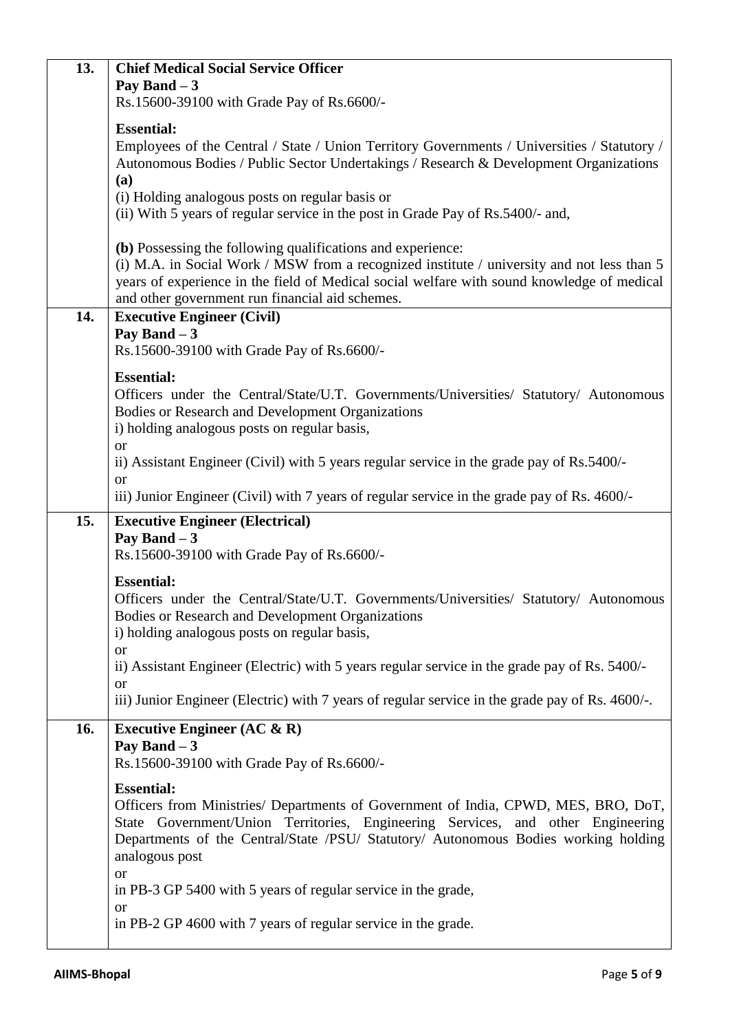| 13. | <b>Chief Medical Social Service Officer</b>                                                                  |
|-----|--------------------------------------------------------------------------------------------------------------|
|     | Pay Band $-3$                                                                                                |
|     | Rs.15600-39100 with Grade Pay of Rs.6600/-                                                                   |
|     | <b>Essential:</b>                                                                                            |
|     | Employees of the Central / State / Union Territory Governments / Universities / Statutory /                  |
|     | Autonomous Bodies / Public Sector Undertakings / Research & Development Organizations                        |
|     | (a)                                                                                                          |
|     | (i) Holding analogous posts on regular basis or                                                              |
|     | (ii) With 5 years of regular service in the post in Grade Pay of Rs.5400/- and,                              |
|     | (b) Possessing the following qualifications and experience:                                                  |
|     | (i) M.A. in Social Work / MSW from a recognized institute / university and not less than 5                   |
|     | years of experience in the field of Medical social welfare with sound knowledge of medical                   |
|     | and other government run financial aid schemes.                                                              |
| 14. | <b>Executive Engineer (Civil)</b>                                                                            |
|     | Pay Band $-3$                                                                                                |
|     | Rs.15600-39100 with Grade Pay of Rs.6600/-                                                                   |
|     | <b>Essential:</b>                                                                                            |
|     | Officers under the Central/State/U.T. Governments/Universities/ Statutory/ Autonomous                        |
|     | Bodies or Research and Development Organizations                                                             |
|     | i) holding analogous posts on regular basis,<br>$\alpha$                                                     |
|     | ii) Assistant Engineer (Civil) with 5 years regular service in the grade pay of Rs.5400/-                    |
|     | <sub>or</sub>                                                                                                |
|     | iii) Junior Engineer (Civil) with 7 years of regular service in the grade pay of Rs. 4600/-                  |
| 15. | <b>Executive Engineer (Electrical)</b>                                                                       |
|     |                                                                                                              |
|     | Pay Band $-3$                                                                                                |
|     | Rs.15600-39100 with Grade Pay of Rs.6600/-                                                                   |
|     | <b>Essential:</b>                                                                                            |
|     | Officers under the Central/State/U.T. Governments/Universities/ Statutory/ Autonomous                        |
|     | Bodies or Research and Development Organizations                                                             |
|     | i) holding analogous posts on regular basis,                                                                 |
|     | <sub>or</sub>                                                                                                |
|     | ii) Assistant Engineer (Electric) with 5 years regular service in the grade pay of Rs. 5400/-                |
|     | <b>or</b><br>iii) Junior Engineer (Electric) with 7 years of regular service in the grade pay of Rs. 4600/-. |
|     |                                                                                                              |
| 16. | Executive Engineer $(AC & R)$                                                                                |
|     | Pay Band $-3$<br>Rs.15600-39100 with Grade Pay of Rs.6600/-                                                  |
|     |                                                                                                              |
|     | <b>Essential:</b><br>Officers from Ministries/ Departments of Government of India, CPWD, MES, BRO, DoT,      |
|     | State Government/Union Territories, Engineering Services, and other Engineering                              |
|     | Departments of the Central/State /PSU/ Statutory/ Autonomous Bodies working holding                          |
|     | analogous post                                                                                               |
|     | <b>or</b>                                                                                                    |
|     | in PB-3 GP 5400 with 5 years of regular service in the grade,                                                |
|     | <sub>or</sub><br>in PB-2 GP 4600 with 7 years of regular service in the grade.                               |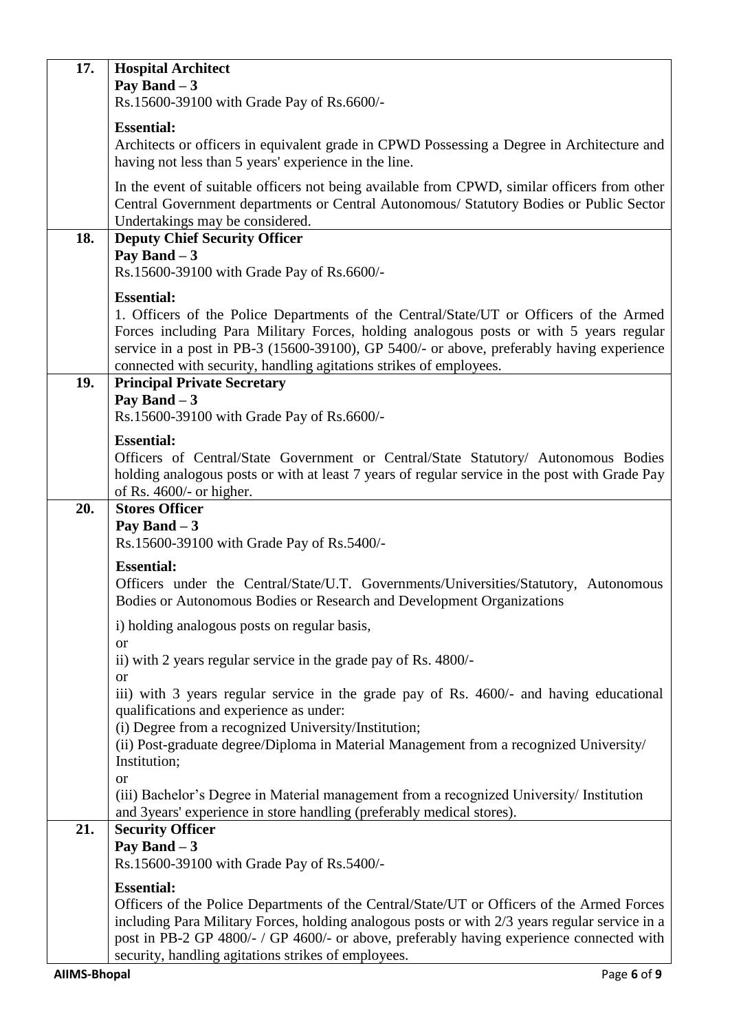| 17. | <b>Hospital Architect</b><br>Pay Band $-3$<br>Rs.15600-39100 with Grade Pay of Rs.6600/-                                                                                                                                                                                                                                                                                 |
|-----|--------------------------------------------------------------------------------------------------------------------------------------------------------------------------------------------------------------------------------------------------------------------------------------------------------------------------------------------------------------------------|
|     | <b>Essential:</b>                                                                                                                                                                                                                                                                                                                                                        |
|     | Architects or officers in equivalent grade in CPWD Possessing a Degree in Architecture and<br>having not less than 5 years' experience in the line.                                                                                                                                                                                                                      |
|     | In the event of suitable officers not being available from CPWD, similar officers from other<br>Central Government departments or Central Autonomous/ Statutory Bodies or Public Sector<br>Undertakings may be considered.                                                                                                                                               |
| 18. | <b>Deputy Chief Security Officer</b><br>Pay Band $-3$<br>Rs.15600-39100 with Grade Pay of Rs.6600/-                                                                                                                                                                                                                                                                      |
|     | <b>Essential:</b><br>1. Officers of the Police Departments of the Central/State/UT or Officers of the Armed<br>Forces including Para Military Forces, holding analogous posts or with 5 years regular<br>service in a post in PB-3 (15600-39100), GP 5400/- or above, preferably having experience<br>connected with security, handling agitations strikes of employees. |
| 19. | <b>Principal Private Secretary</b><br>Pay Band $-3$<br>Rs.15600-39100 with Grade Pay of Rs.6600/-                                                                                                                                                                                                                                                                        |
|     | <b>Essential:</b><br>Officers of Central/State Government or Central/State Statutory/ Autonomous Bodies<br>holding analogous posts or with at least 7 years of regular service in the post with Grade Pay<br>of Rs. 4600/- or higher.                                                                                                                                    |
| 20. | <b>Stores Officer</b><br>Pay Band $-3$                                                                                                                                                                                                                                                                                                                                   |
|     | Rs.15600-39100 with Grade Pay of Rs.5400/-                                                                                                                                                                                                                                                                                                                               |
|     | <b>Essential:</b><br>Officers under the Central/State/U.T. Governments/Universities/Statutory, Autonomous<br>Bodies or Autonomous Bodies or Research and Development Organizations                                                                                                                                                                                       |
|     | i) holding analogous posts on regular basis,                                                                                                                                                                                                                                                                                                                             |
|     | <sub>or</sub><br>ii) with 2 years regular service in the grade pay of Rs. 4800/-<br><b>or</b>                                                                                                                                                                                                                                                                            |
|     | iii) with 3 years regular service in the grade pay of Rs. 4600/- and having educational<br>qualifications and experience as under:<br>(i) Degree from a recognized University/Institution;<br>(ii) Post-graduate degree/Diploma in Material Management from a recognized University/<br>Institution;                                                                     |
|     | <b>or</b><br>(iii) Bachelor's Degree in Material management from a recognized University/ Institution<br>and 3years' experience in store handling (preferably medical stores).                                                                                                                                                                                           |
| 21. | <b>Security Officer</b><br>Pay Band $-3$                                                                                                                                                                                                                                                                                                                                 |
|     | Rs.15600-39100 with Grade Pay of Rs.5400/-                                                                                                                                                                                                                                                                                                                               |
|     | <b>Essential:</b><br>Officers of the Police Departments of the Central/State/UT or Officers of the Armed Forces<br>including Para Military Forces, holding analogous posts or with 2/3 years regular service in a<br>post in PB-2 GP 4800/- / GP 4600/- or above, preferably having experience connected with<br>security, handling agitations strikes of employees.     |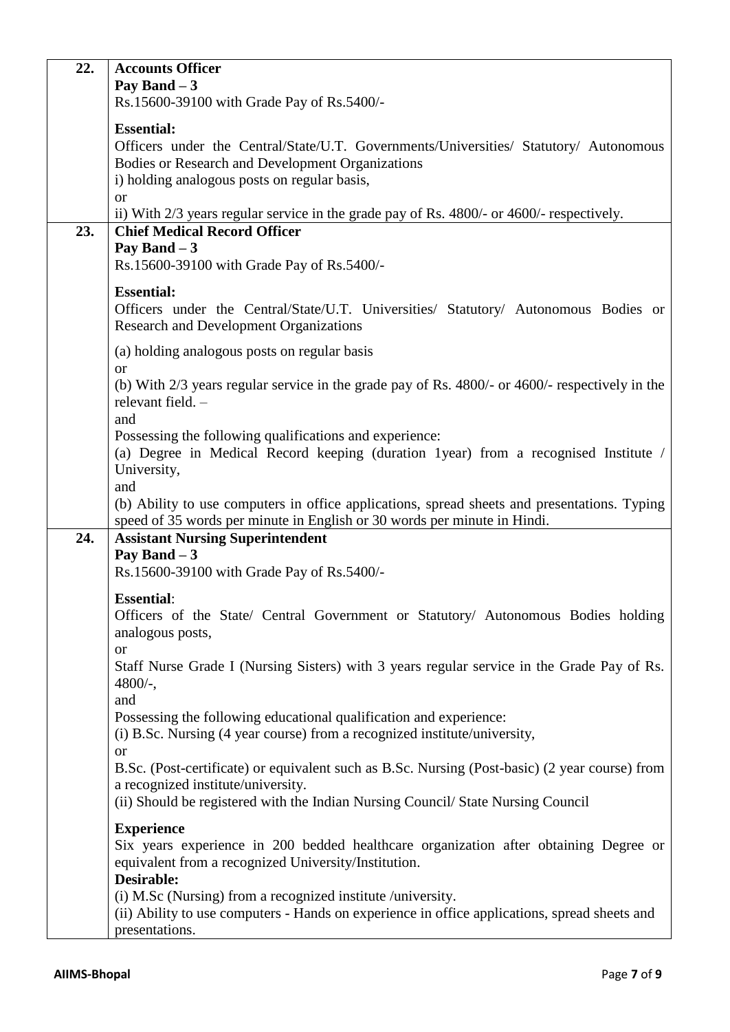| 22. | <b>Accounts Officer</b><br>Pay Band $-3$                                                                                                                                                                                                                                                                                 |
|-----|--------------------------------------------------------------------------------------------------------------------------------------------------------------------------------------------------------------------------------------------------------------------------------------------------------------------------|
|     | Rs.15600-39100 with Grade Pay of Rs.5400/-                                                                                                                                                                                                                                                                               |
|     | <b>Essential:</b><br>Officers under the Central/State/U.T. Governments/Universities/ Statutory/ Autonomous<br>Bodies or Research and Development Organizations<br>i) holding analogous posts on regular basis,<br><b>or</b><br>ii) With 2/3 years regular service in the grade pay of Rs. 4800/- or 4600/- respectively. |
| 23. | <b>Chief Medical Record Officer</b><br>Pay Band $-3$<br>Rs.15600-39100 with Grade Pay of Rs.5400/-                                                                                                                                                                                                                       |
|     | <b>Essential:</b><br>Officers under the Central/State/U.T. Universities/ Statutory/ Autonomous Bodies or<br><b>Research and Development Organizations</b>                                                                                                                                                                |
|     | (a) holding analogous posts on regular basis<br><b>or</b>                                                                                                                                                                                                                                                                |
|     | (b) With 2/3 years regular service in the grade pay of Rs. 4800/- or 4600/- respectively in the<br>relevant field. -<br>and                                                                                                                                                                                              |
|     | Possessing the following qualifications and experience:<br>(a) Degree in Medical Record keeping (duration 1year) from a recognised Institute /<br>University,<br>and                                                                                                                                                     |
|     | (b) Ability to use computers in office applications, spread sheets and presentations. Typing<br>speed of 35 words per minute in English or 30 words per minute in Hindi.                                                                                                                                                 |
| 24. | <b>Assistant Nursing Superintendent</b><br>Pay Band $-3$                                                                                                                                                                                                                                                                 |
|     | Rs.15600-39100 with Grade Pay of Rs.5400/-                                                                                                                                                                                                                                                                               |
|     | <b>Essential:</b><br>Officers of the State/ Central Government or Statutory/ Autonomous Bodies holding<br>analogous posts,                                                                                                                                                                                               |
|     | <b>or</b><br>Staff Nurse Grade I (Nursing Sisters) with 3 years regular service in the Grade Pay of Rs.<br>$4800/-$ ,<br>and                                                                                                                                                                                             |
|     | Possessing the following educational qualification and experience:<br>(i) B.Sc. Nursing (4 year course) from a recognized institute/university,<br>or                                                                                                                                                                    |
|     | B.Sc. (Post-certificate) or equivalent such as B.Sc. Nursing (Post-basic) (2 year course) from<br>a recognized institute/university.<br>(ii) Should be registered with the Indian Nursing Council/ State Nursing Council                                                                                                 |
|     | <b>Experience</b>                                                                                                                                                                                                                                                                                                        |
|     | Six years experience in 200 bedded healthcare organization after obtaining Degree or<br>equivalent from a recognized University/Institution.                                                                                                                                                                             |
|     | Desirable:<br>(i) M.Sc (Nursing) from a recognized institute /university.                                                                                                                                                                                                                                                |
|     | (ii) Ability to use computers - Hands on experience in office applications, spread sheets and<br>presentations.                                                                                                                                                                                                          |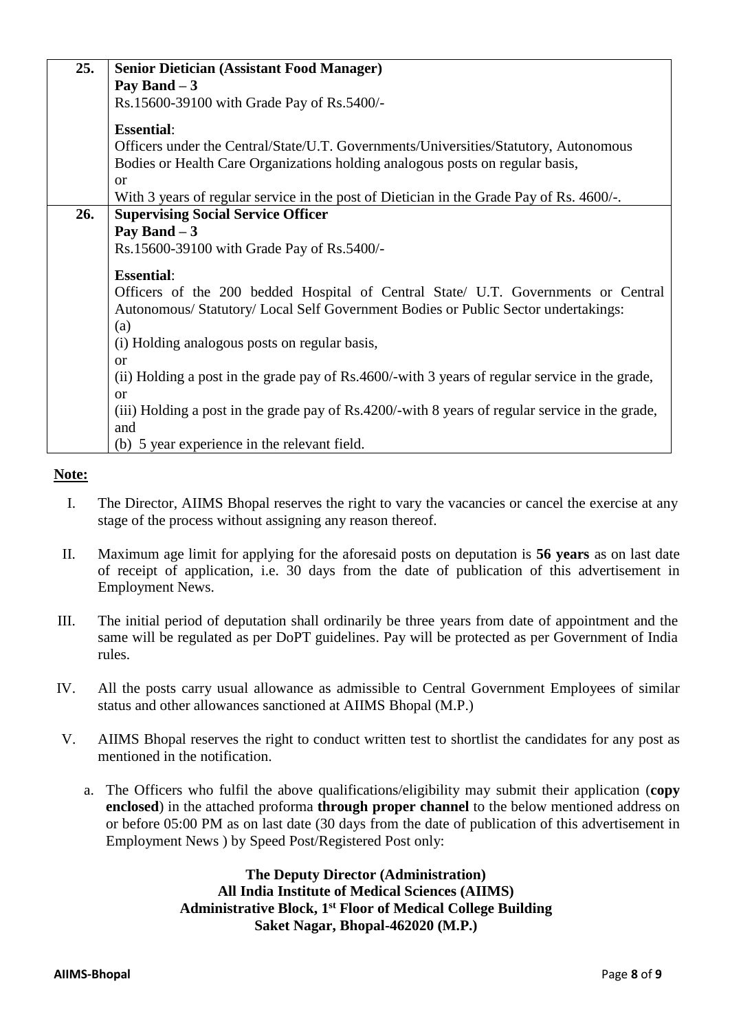| 25. | <b>Senior Dietician (Assistant Food Manager)</b>                                                |
|-----|-------------------------------------------------------------------------------------------------|
|     | Pay Band $-3$                                                                                   |
|     | Rs.15600-39100 with Grade Pay of Rs.5400/-                                                      |
|     |                                                                                                 |
|     | <b>Essential:</b>                                                                               |
|     | Officers under the Central/State/U.T. Governments/Universities/Statutory, Autonomous            |
|     | Bodies or Health Care Organizations holding analogous posts on regular basis,                   |
|     | or                                                                                              |
|     | With 3 years of regular service in the post of Dietician in the Grade Pay of Rs. 4600/-.        |
| 26. | <b>Supervising Social Service Officer</b>                                                       |
|     | Pay Band $-3$                                                                                   |
|     | Rs.15600-39100 with Grade Pay of Rs.5400/-                                                      |
|     |                                                                                                 |
|     | <b>Essential:</b>                                                                               |
|     | Officers of the 200 bedded Hospital of Central State/ U.T. Governments or Central               |
|     | Autonomous/Statutory/Local Self Government Bodies or Public Sector undertakings:                |
|     | (a)                                                                                             |
|     | (i) Holding analogous posts on regular basis,                                                   |
|     | <b>or</b>                                                                                       |
|     | (ii) Holding a post in the grade pay of Rs.4600/-with 3 years of regular service in the grade,  |
|     | <sub>or</sub>                                                                                   |
|     | (iii) Holding a post in the grade pay of Rs.4200/-with 8 years of regular service in the grade, |
|     | and                                                                                             |
|     | (b) 5 year experience in the relevant field.                                                    |

## **Note:**

- I. The Director, AIIMS Bhopal reserves the right to vary the vacancies or cancel the exercise at any stage of the process without assigning any reason thereof.
- II. Maximum age limit for applying for the aforesaid posts on deputation is **56 years** as on last date of receipt of application, i.e. 30 days from the date of publication of this advertisement in Employment News.
- III. The initial period of deputation shall ordinarily be three years from date of appointment and the same will be regulated as per DoPT guidelines. Pay will be protected as per Government of India rules.
- IV. All the posts carry usual allowance as admissible to Central Government Employees of similar status and other allowances sanctioned at AIIMS Bhopal (M.P.)
- V. AIIMS Bhopal reserves the right to conduct written test to shortlist the candidates for any post as mentioned in the notification.
	- a. The Officers who fulfil the above qualifications/eligibility may submit their application (**copy enclosed**) in the attached proforma **through proper channel** to the below mentioned address on or before 05:00 PM as on last date (30 days from the date of publication of this advertisement in Employment News ) by Speed Post/Registered Post only:

**The Deputy Director (Administration) All India Institute of Medical Sciences (AIIMS) Administrative Block, 1st Floor of Medical College Building Saket Nagar, Bhopal-462020 (M.P.)**